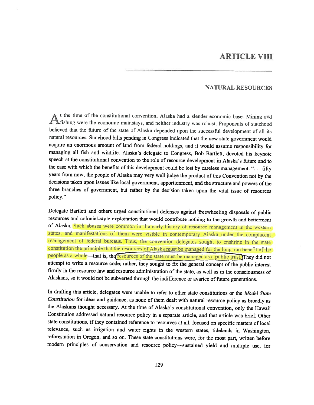# ARTICLE VIII

### NATURAL RESOURCES

A the time ot the constitutional convention, Alaska had <sup>a</sup> slender economic base. Mining and A fishing were the economic mainstays, and neither industry was robust. Proponents of statehood believed that the future of the state of Alaska depended upon the successful development of all its natural resources. Statehood bills pending in Congress indicated that the new state government would acquire an enormous amount of land from federal holdings, and it would assume responsibility for managing all fish and wildlife. Alaska's delegate to Congress, Bob Bartlett, devoted his keynote speech at the constitutional convention to the role of resource development in Alaska's future and to the ease with which the benefits of this development could be lost by careless management: "... fifty years from now, the people of Alaska may very well judge the product of this Convention not by the decisions taken upon issues like local government, apportionment, and the structure and powers of the three branches of government, but rather by the decision taken upon the vital issue of resources policy."

Delegate Bartlett and others urged constitutional defenses against freewheeling disposals of public resources and colonial-style exploitation that would contribute nothing to the growth and betterment of Alaska. Such abuses were common in the early history of resource management in the western states, and manifestations of them were visible in contemporary Alaska under the complacent management of federal bureaus. Thus, the convention delegates sought to enshrine in the state constitution the principle that the resources of Alaska must be managed for the long-run benefit of the people as a whole—that is, the resources of the state must be managed as a public trust. They did not attempt to write <sup>a</sup> resource code; rather, they sought to fix the general concept of the public interest firmly in the resource law and resource administration of the state, as well as in the consciousness of Alaskans, so it would not be subverted through the indifference or avarice of future generations.

In drafting this article, delegates were unable to refer to other state constitutions or the Model State Constitution for ideas and guidance, as none of them dealt with natural resource policy as broadly as the Alaskans thought necessary. At the time of Alaska's constitutional convention, only the Hawaii Constitution addressed natural resource policy in <sup>a</sup> separate article, and that article was brief. Other state constitutions, if they contained reference to resources at all, focused on specific matters of local relevance, such as irrigation and water rights in the western states, tidelands in Washington, reforestation in Oregon, and so on. These state constitutions were, for the most part, written before modern principles of conservation and resource policy-sustained yield and multiple use, for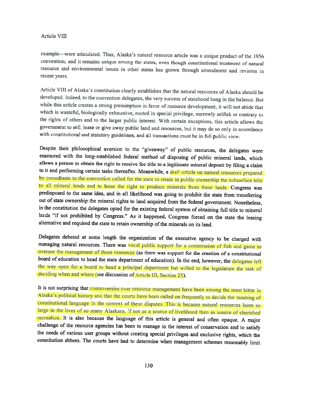example—-were articulated. Thus, Alaska's natural resource article was <sup>a</sup> unique product of the <sup>1956</sup> convention, and it remains unique among the states, even though constitutional treatment of natural resource and environmental issues in other states has grown through amendment and revision in recent years.

Article VIII of Alaska's constitution clearly establishes that the natural resources of Alaska should be developed, Indeed, to the convention delegates, the very success of statehood hung in the balance. But while this article creates <sup>a</sup> strong presumption in favor of resource development, it will not abide that which is wasteful, biologically exhaustive, rooted in special privilege, narrowly selfish or contrary to the rights of others and to the larger public interest. With certain exceptions, this article allows the government to sell, lease or <sup>g</sup>ive away public land and resources, but it may do so only in accordance with constitutional and statutory guidelines, and all transactions must be in full public view.

Despite their <sup>p</sup>hilosophical aversion to the "giveaway" of public resources, the delegates were enamored with the long-established federal method of disposing of public mineral lands, which allows <sup>a</sup> person to obtain the right to receive fee title to <sup>a</sup> legitimate mineral deposit by filing <sup>a</sup> claim to it and performing certain tasks thereafter. Meanwhile, a draft article on natural resources prepared by consultants to the convention called for the state to retain in public ownership the subsurface title to all mineral lands and to lease the right to produce minerals from these lands. Congress was predisposed to the same idea, and in all likelihood was going to prohibit the state from transferring out of state ownership the mineral rights to land acquired from the federal government. Nonetheless, in the constitution the delegates opted for the existing federal system of obtaining full title to mineral lands "if not prohibited by Congress." As it happened, Congress forced on the state the leasing alternative and required the state to retain ownership of the minerals on its land.

Delegates debated at some length the organization of the executive agency to be charged with managing natural resources. There was vocal public support for a commission of fish and game to oversee the management of those resources (as there was support for the creation of <sup>a</sup> constitutional board of education to head the state department of education). In the end, however, the delegates left the way open for <sup>a</sup> board to head <sup>a</sup> principal department but willed to the legislature the task of deciding when and where (see discussion of Article III, Section 25).

It is not surprising that controversies over resource management have been among the most bitter in Alaska's political history and that the courts have been called on frequently to decide the meaning of constitutional language in the context of these disputes. This is because natural resources loom so large in the lives of so many Alaskans, if not as <sup>a</sup> source of livelihood then as source of cherished recreation. It is also because the language of this article is general and often opaque. <sup>A</sup> major challenge of the resource agencies has been to manage in the interest of conservation and to satisfy the needs of various user groups without creating special privileges and exclusive rights, which the constitution abhors. The courts have had to determine when management schemes reasonably limit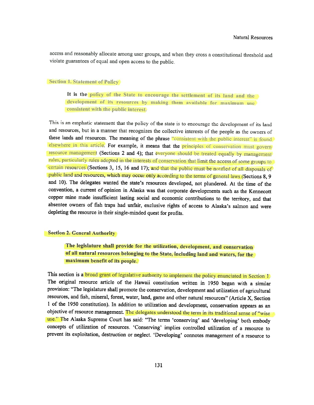access and reasonably allocate among user groups, and when they cross <sup>a</sup> constitutional threshold and violate guarantees of equal and open access to the public.

### **Section 1. Statement of Policy**

It is the policy of the State to encourage the settlement of its land and the development of its resources by making them available for maximum use consistent with the public interest.

This is an emphatic statement that the policy of the state is to encourage the development of its land and resources, hut in <sup>a</sup> manner that recognizes the collective interests of the people as the owners of these lands and resources. The meaning of the phrase "consistent with the public interest" is found elsewhere in this article. For example, it means that the principles of conservation must govern resource management (Sections 2 and 4); that everyone should be treated equally by management rules, particularly rules adopted in the interests of conservation that limit the access of some groups to certain resources (Sections 3, 15, <sup>16</sup> and 17); and that the public must be notified of all disposals of public land and resources, which may occur only according to the terms of general laws (Sections 8, 9 and 10). The delegates wanted the state's resources developed, not <sup>p</sup>lundered. At the time of the convention, <sup>a</sup> current of opinion in Alaska was that corporate developments such as the Kennecott copper mine made insufficient lasting social and economic contributions to the territory, and that absentee owners of fish traps had unfair, exclusive rights of access to Alaska's salmon and were depleting the resource in their single-minded quest for profits.

### Section 2. General Authority

The legislature shall provide for the utilization, development, and conservation of all natural resources belonging to the State, including land and waters, for the maximum benefit of its people.

This section is a **broad grant of legislative authority to implement the policy enunciated in Section 1.** The original resource article of the Hawaii constitution written in <sup>1950</sup> began with <sup>a</sup> similar provision: "The legislature shall promote the conservation, development and utilization of agricultural resources, and fish, mineral, forest, water, land, game and other natural resources" (Article X, Section <sup>I</sup> of the <sup>1950</sup> constitution). In addition to utilization and development, conservation appears as an objective of resource management. The delegates understood the term in its traditional sense of "wise use." The Alaska Supreme Court has said: "The terms 'conserving' and 'developing' both embody concepts of utilization of resources. 'Conserving' implies controlled utilization of <sup>a</sup> resource to prevent its exploitation, destruction or neglect. 'Developing' connotes management of <sup>a</sup> resource to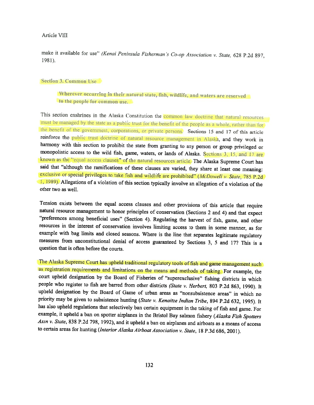make it available for use" (Kenai Peninsula Fisherman's Co-op Association v. State, 628 P.2d 897, 1981).

#### Section 3. Common Use

Wherever occurring in their natural state, fish, wildlife, and waters are reserved to the people for common use.

This section enshrines in the Alaska Constitution the common law doctrine that natural resources must be managed by the state as <sup>a</sup> public trust for the benefit of the people as <sup>a</sup> whole, rather than for the benefit of the government, corporations, or private persons. Sections <sup>15</sup> and <sup>17</sup> of this article reinforce the public trust doctrine of natural resource management in Alaska, and they work in harmony with this section to prohibit the state from granting to any person or group privileged or monopolistic access to the wild fish, game, waters, or lands of Alaska. Sections 3, 15, and 17 are known as the "equal access clauses" of the natural resources article. The Alaska Supreme Court has said that "although the ramifications of these clauses are varied, they share at least one meaning: exclusive or special privileges to take fish and wildlife are prohibited" (McDowell v. State, 785 P.2d 1, 1989). Allegations of <sup>a</sup> violation of this section typically involve an allegation of <sup>a</sup> violation of the other two as well.

Tension exists between the equal access clauses and other provisions of this article that require natural resource management to honor principles of conservation (Sections <sup>2</sup> and 4) and that expect "preferences among beneficial uses" (Section 4). Regulating the harvest of fish, game, and other resources in the interest of conservation involves limiting access to them in some manner, as for example with bag limits and closed seasons. Where is the line that separates legitimate regulatory measures from unconstitutional denial of access guaranteed by Sections 3, <sup>5</sup> and 17? This is <sup>a</sup> question that is often before the courts.

The Alaska Supreme Court has upheld traditional regulatory tools of fish and game management such as registration requirements and limitations on the means and methods of taking. For example, the court upheld designation by the Board of Fisheries of "superexciusive" fishing districts in which people who register to fish are barred from other districts (State v. Herbert, 803 P.2d 863, 1990). It upheld designation by the Board of Game of urban areas as "nonsubsistence areas" in which no priority may be given to subsistence hunting (State v. Kenaitze Indian Tribe, 894 P.2d 632, 1995). It has also upheld regulations that selectively ban certain equipment in the taking of fish and game. For example, it upheld a ban on spotter airplanes in the Bristol Bay salmon fishery (Alaska Fish Spotters Assn v. State, <sup>838</sup> P.2d 798, 1992), and it upheld <sup>a</sup> ban on airplanes and airboats as <sup>a</sup> means of access to certain areas for hunting (Interior Alaska Airboat Association v. State, <sup>18</sup> P.3d 686, 2001).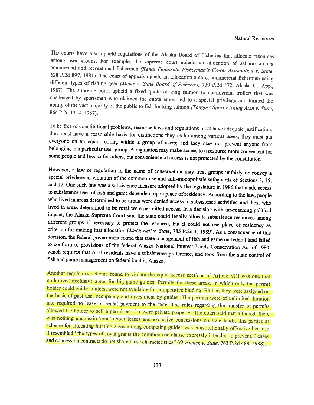The courts have also upheld regulations of the Alaska Board of Fisheries that allocate resources among user groups. For example, the supreme court upheld an allocation of salmon among commercial and recreational fishermen (Kenai Peninsula Fisherman's Co-op Association v. State, 628 P.2d 897, 1981). The court of appeals upheld an allocation among commercial fishermen using different types of fishing gear ability of the vast majority of the public to fish for king salmon (Tongass Sport Fishing Assn v. State, 866 P.2d 1314, 1987).

To be free of constitutional problems, resource laws and regulations must have adequate justification; they must have a reasonable basis for distinctions they make among various users; they must put everyone on an equal fo everyone on an equal footing within <sup>a</sup> group of users; and they may not prevent anyone from belonging to <sup>a</sup> particular user group. <sup>A</sup> regulation may make access to <sup>a</sup> resource more convenient for some people and less so for others, but convenience of access is not protected by the constitution.

However, a law or regulation in the name of conservation may treat groups unfairly or convey a special privilege in violation of the common use and anti-monopolistic safeguards of Sections 3, 15, and 17. One such law was a who lived in areas determined to be urban were denied access to subsistence activities, and those who lived in areas determined to be rural were permitted access. In a decision with far-reaching political impact, the Alaska Supreme Court said the state could legally allocate subsistence resources among<br>different groups if necessary to protect the resource, but it could not use place of residency as<br>criterion for making that which requires that rural residents have a subsistence preference, and took from the state control of fish and game management on federal land in Alaska.

Another regulatory scheme found to violate the equal access sections of Article VIII was one that authorized exclusive areas for big-game guides. Permits for these areas, in which only the permit holder could guide hunters, were not available for competitive bidding. Rather, they were assigned on the basis of past use, occupancy and investment by guides. The permits were of unlimited duration and required no lease allowed the holder to sell a permit as if it were private property. The court said that although there was nothing unconstitutional about leases and exclusive concessions on state lands, this particular scheme for allocating hunting areas among competing guides was constitutionally offensive because<br>it resembled "the types of royal grants the common use clause expressly intended to prevent. Leases<br>and concession contracts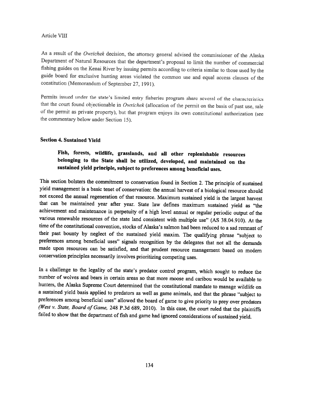As <sup>a</sup> result of the Owsichek decision, the attorney general advised the commissioner of the Alaska Department of Natural Resources that the department's proposal to limit the number of commercial fishing guides on the Kenai River by issuing permits according to criteria similar to those used by the guide board for exclusive hunting areas violated the common use and equal access clauses of the constitution (Memorandum of September 27, 1991).

Permits issued under the state's limited entry fisheries program share several of the characteristics that the court found objectionable in Owsichek (allocation of the permit on the basis of past use, sale of the permit as private property), but that program enjoys its own constitutional authorization (see the commentary below under Section 15).

### Section 4. Sustained Yield

# Fish, forests, wildlife, grasslands, and all other replenishable resources belonging to the State shall be utilized, developed, and maintained on the sustained <sup>y</sup>ield principle, subject to preferences among beneficial uses.

This section bolsters the commitment to conservation found in Section 2. The principle of sustained <sup>y</sup>ield management is <sup>a</sup> basic tenet of conservation: the annual harvest of <sup>a</sup> biological resource should not exceed the annual regeneration of that resource. Maximum sustained <sup>y</sup>ield is the largest harvest that can be maintained year after year. State law defines maximum sustained <sup>y</sup>ield as "the achievement and maintenance in perpetuity of <sup>a</sup> high level annual or regular periodic output of the various renewable resources of the state land consistent with multiple use" (AS 38.04.910). At the time of the constitutional convention, stocks of Alaska's salmon had been reduced to <sup>a</sup> sad remnant of their past bounty by neglect of the sustained <sup>y</sup>ield maxim. The qualifying <sup>p</sup>hrase "subject to preferences among beneficial uses" signals recognition by the delegates that not all the demands made upon resources can be satisfied, and that prudent resource management based on modern conservation principles necessarily involves prioritizing competing uses.

In <sup>a</sup> challenge to the legality of the state's predator control program, which sought to reduce the number of wolves and bears in certain areas so that more moose and caribou would be available to hunters, the Alaska Supreme Court determined that the constitutional mandate to manage wildlife on <sup>a</sup> sustained <sup>y</sup>ield basis applied to predators as well as game animals, and that the <sup>p</sup>hrase "subject to preferences among beneficial uses" allowed the board of game to <sup>g</sup>ive priority to prey over predators (West v. State, Board of Game, 248 P.3d 689, 2010). In this case, the court ruled that the plaintiffs failed to show that the department of fish and game had ignored considerations of sustained yield.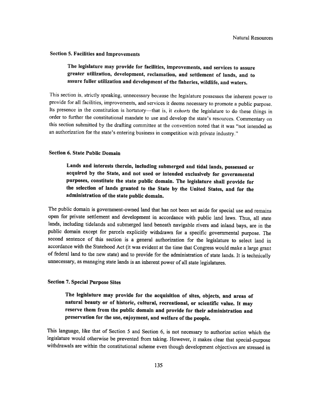### Section 5. Facilities and Improvements

# The legislature may provide for facilities, improvements, and services to assure greater utilization, development, reclamation, and settlement of lands, and to assure fuller utilization and development of the fisheries, wildlife, and waters.

This section is, strictly speaking, unnecessary because the legislature possesses the inherent power to provide for all facilities, improvements, and services it deems necessary to promote <sup>a</sup> public purpose. Its presence in the constitution is hortatory—that is, it exhorts the legislature to do these things in order to further the constitutional mandate to use and develop the state's resources. Commentary on this section submitted by the drafling committee at the convention noted that it was "not intended as an authorization for the state's entering business in competition with private industry."

## Section 6. State Public Domain

Lands and interests therein, including submerged and tidal lands, possessed or acquired by the State, and not used or intended exclusively for governmental purposes, constitute the state public domain. The legislature shall provide for the selection of lands granted to the State by the United States, and for the administration of the state public domain.

The public domain is government-owned land that has not been set aside for special use and remains open for private settlement and development in accordance with public land laws. Thus, all state lands, including tidelands and submerged land beneath navigable rivers and inland bays, are in the public domain except for parcels explicitly withdrawn for <sup>a</sup> specific governmental purpose. The second sentence of this section is <sup>a</sup> general authorization for the legislature to select land in accordance with the Statehood Act (it was evident at the time that Congress would make <sup>a</sup> large grant of federal land to the new state) and to provide for the administration of state lands. It is technically unnecessary, as managing state lands is an inherent power of all state legislatures.

### Section 7. Special Purpose Sites

The legislature may provide for the acquisition of sites, objects, and areas of natural beauty or of historic, cultural, recreational, or scientific value. It may reserve them from the public domain and provide for their administration and preservation for the use, enjoyment, and welfare of the people.

This language, like that of Section <sup>5</sup> and Section 6, is not necessary to authorize action which the legislature would otherwise be prevented from taking. However, it makes clear that special-purpose withdrawals are within the constitutional scheme even though development objectives are stressed in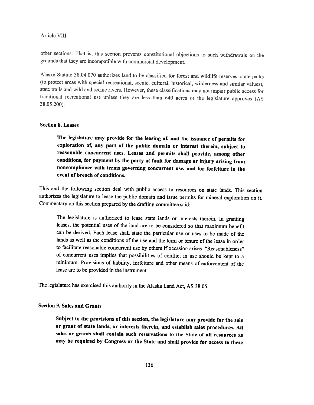other sections. That is, this section prevents constitutional objections to such withdrawals on the grounds that they are incompatible with commercial development.

Alaska Statute 38.04.070 authorizes land to he classified for forest and wildlife reserves, state parks (to protect areas with special recreational, scenic, cultural, historical, wilderness and similar values), state trails and wild and scenic rivers. However, these classifications may not impair public access for traditional recreational use unless they are less than <sup>640</sup> acres or the legislature approves (AS 38.05200).

### Section 8. Leases

The legislature may provide for the leasing of, and the issuance of permits for exploration of, any part of the public domain or interest therein, subject to reasonable concurrent uses. Leases and permits shall provide, among other conditions, for payment by the party at fault for damage or injury arising from noncompliance with terms governing concurrent use, and for forfeiture in the event of breach of conditions.

This and the following section deal with public access to resources on state lands. This section authorizes the legislature to lease the public domain and issue permits for mineral exploration on it. Commentary on this section prepared by the drafting committee said:

The legislature is authorized to lease state lands or interests therein. In granting leases, the potential uses of the land are to be considered so that maximum benefit can be derived. Each lease shall state the particular use or uses to be made of the lands as well as the conditions of the use and the term or tenure of the lease in order to facilitate reasonable concurrent use by others if occasion arises. "Reasonableness" of concurrent uses implies that possibilities of conflict in use should be kept to <sup>a</sup> minimum. Provisions of liability, forfeiture and other means of enforcement of the lease are to be provided in the instrument.

The legislature has exercised this authority in the Alaska Land Act, AS 38.05.

## Section 9. Sales and Grants

Subject to the provisions of this section, the legislature may provide for the sale or grant of state lands, or interests therein, and establish sales procedures. All sales or grants shall contain such reservations to the State of all resources as may be required by Congress or the State and shall provide for access to these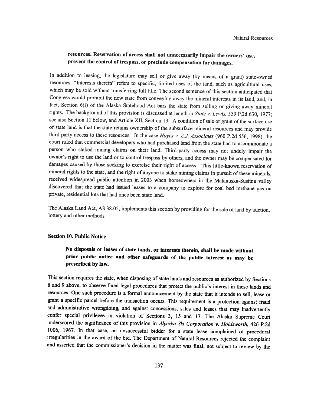## resources. Reservation of access shall not unnecessarily impair the owners' use, prevent the control of trespass, or preclude compensation for damages.

In addition to leasing, the legislature may sell or <sup>g</sup>ive away (by means of <sup>a</sup> grant) state-owned resources. "Interests therein" refers to specific, limited uses of the land, such as agricultural uses, which may be sold without transferring full title. The second sentence of this section anticipated that Congress would prohibit the new state from conveying away the mineral interests in its land, and, in fact, Section 6(i) of the Alaska Statehood Act bars the state from selling or giving away mineral rights. The background of this provision is discussed at length in State v. Lewis, 559 P.2d 630, 1977; see also Section <sup>11</sup> below, and Article Xli, Section 13. <sup>A</sup> condition of sale or grant ot the surface use of state land is that the state retains ownership of the subsurface mineral resources and may provide third party access to these resources. In the case Hayes v. A.J. Associates (960 P.2d 556, 1998), the court ruled that connnercial developers who had purchased land from the state had to accommodate <sup>a</sup> person who staked mining claims on their land. Third-party access may not unduly impair the owner's right to use the land or to control trespass by others, and the owner may he compensated for damages caused by those seeking to exercise their right of access This little-known reservation of mineral rights to the state, and the right of anyone to stake mining claims in pursuit of these minerals, received widespread public attention in <sup>2003</sup> when homeowners in the Matanuska-Susitna valley discovered that the state had issued leases to <sup>a</sup> company to explore for coal bed methane gas on private, residential lots that had once been state land.

The Alaska Land Act, AS 38.05, implements this section by providing for the sale of land by auction, lottery and other methods.

#### Section 10. Public Notice

## No disposals or leases of state lands, or interests therein, shall be made without prior public notice and other safeguards of the public interest as may be prescribed by law.

This section requires the state, when disposing of state lands and resources as authorized by Sections <sup>8</sup> and <sup>9</sup> above, to observe fixed legal procedures that protect the public's interest in these lands and resources. One such procedure is <sup>a</sup> formal announcement by the state that it intends to sell, lease or grant <sup>a</sup> specific parcel before the transaction occurs. This requirement is <sup>a</sup> protection against fraud and administrative wrongdoing, and against concessions, sales and leases that may inadvertently confer special privileges in violation of Sections 3, <sup>15</sup> and 17. The Alaska Supreme Court underscored the significance of this provision in Alyeska Ski Corporation v. Holdsworth, 426 P.2d 1006, 1967. In that case, an unsuccessful bidder for <sup>a</sup> state lease complained of procedural irregularities in the award of the bid. The Department of Natural Resources rejected the complaint and asserted that the commissioner's decision in the matter was final, not subject to review by the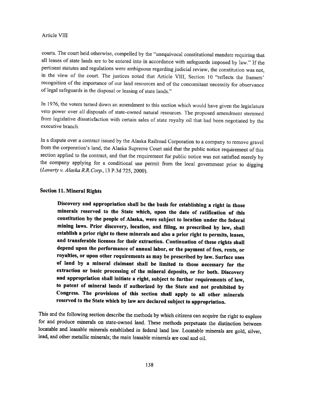courts. The court held otherwise, compelled by the "unequivocal constitutional mandaie requiring that all leases of state lands are to he entered into in accordance with safeguards imposed by law." if the pertinent statutes and regulations were ambiguous regarding judicial review, the constitution was not, in the view of the court. The justices noted that Article VIII, Section 10 "reflects the framers' recognition of the importance of our land resources and of the concomitant necessity for observance of legal safeguards in the disposal or leasing of state lands."

In 1976, the voters turned down an amendment to this section which would have <sup>g</sup>iven the legislature veto power over all disposals of state-owned natural resources. The proposed amendment stemmed from legislative dissatisfaction with certain sales of state royalty oil that had been negotiated by the executive branch.

in <sup>a</sup> dispute over <sup>a</sup> contract issued by the Alaska Railroad Corporation to <sup>a</sup> company to remove gravel from the corporation's land, the Alaska Supreme Court said that the public notice requirement of this section applied to the contract, and that the requirement for public notice was not satisfied merely by the company applying for <sup>a</sup> conditional use permit from the local government prior to digging (Laverty v. Alaska R.R.Corp., 13 P.3d 725, 2000).

### Section 11. Mineral Rights

Discovery and appropriation shall be the basis for establishing <sup>a</sup> right in those minerals reserved to the State which, upon the date of ratification of this constitution by the people of Alaska, were subject to location under the federal mining laws. Prior discovery, location, and filing, as prescribed by law, shall establish <sup>a</sup> prior right to these minerals and also <sup>a</sup> prior right to permits, leases, and transferable licenses for their extraction. Continuation of these rights shall depend upon the performance of annual labor, or the payment of fees, rents, or royalties, or upon other requirements as may be prescribed by law. Surface uses of land by <sup>a</sup> mineral claimant shall be limited to those necessary for the extraction or basic processing of the mineral deposits, or for both. Discovery and appropriation shall initiate <sup>a</sup> right, subject to further requirements of law, to patent of mineral lands if authorized by the State and not prohibited by Congress. The provisions of this section shall apply to all other minerals reserved to the State which by law are declared subject to appropriation.

This and the following section describe the methods by which citizens can acquire the right to explore for and produce minerals on state-owned land. These methods perpetuate the distinction between locatable and leasable minerals established in federal land law. Locatable minerals are gold, silver, lead, and other metallic minerals; the main leasable minerals are coal and oil.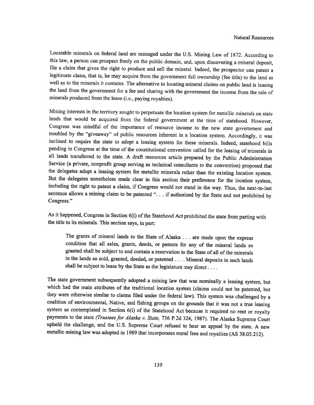Locatable minerals on federal land are managed under the U.S. Mining Law of 1872. According to this law, <sup>a</sup> person can prospect freely on the public domain, and, upon discovering <sup>a</sup> mineral deposit, file <sup>a</sup> claim that <sup>g</sup>ives the right to produce and sell the mineral. Indeed, the prospector can patent <sup>a</sup> legitimate claim, that is, he may acquire from the government full ownership (fee title) to the land as well as to the minerals it contains. The alternative to locating mineral claims on public land is leasing the land from the government for <sup>a</sup> fee and sharing with the government the income from the sale of minerals produced from the lease (i.e., paying royalties).

Mining interests in the territory sought to perpetuate the location system for metallic minerals on state lands that would be acquired from the federal government at the time of statehood. However, Congress was mindful of the importance of resource income to the new state government and troubled by the "giveaway" of public resources inherent in <sup>a</sup> location system. Accordingly, it was inclined to require the state to adopt <sup>a</sup> leasing system for these minerals, Indeed, statehood bills pending in Congress at the time of the constitutional convention called for the leasing of minerals in all lands transferred to the state. <sup>A</sup> draft resources article prepared by the Public Administration Service (a private, nonprofit group serving as technical consultants to the convention) proposed that the delegates adopt <sup>a</sup> leasing system for metallic minerals rather than the existing location system. But the delegates nonetheless made clear in this section their preference for the location system, including the right to patent <sup>a</sup> claim, if Congress would not stand in the way. Thus, the next-to-last sentence allows a mining claim to be patented ". . . if authorized by the State and not prohibited by Congress."

As it happened, Congress in Section 6(i) of the Statehood Act prohibited the state from parting with the title to its minerals. This section says, in part:

The grants of mineral lands to the State of Alaska . . . are made upon the express condition that all sales, grants, deeds, or patents for any of the mineral lands so granted shall be subject to and contain <sup>a</sup> reservation to the State of all of the minerals in the lands so sold, granted, deeded, or patented. . . . Mineral deposits in such lands shall be subject to lease by the State as the legislature may direct....

The state government subsequently adopted <sup>a</sup> mining law that was nominally <sup>a</sup> leasing system, but which had the main attributes of the traditional location system (claims could not be patented, but they were otherwise similar to claims filed under the federal law). This system was challenged by <sup>a</sup> coalition of environmental, Native, and fishing groups on the grounds that it was not <sup>a</sup> true leasing system as contemplated in Section 6(i) of the Statehood Act because it required no rent or royalty payments to the state (Trustees for Alaska v. State, 736 P.2d 324, 1987). The Alaska Supreme Court upheld the challenge, and the U.S. Supreme Court refused to hear an appeal by the state, <sup>A</sup> new metallic mining law was adopted in <sup>1989</sup> that incorporates rental fees and royalties (AS 38.05.212).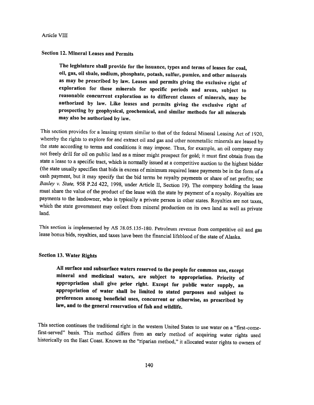## Section 12. Mineral Leases and Permits

The legislature shall provide for the issuance, types and terms of leases for coal, oil, gas, oil shale, sodium, phosphate, potash, sulfur, pumice, and other minerals as may be prescribed by law. Leases and permits <sup>g</sup>iving the exclusive right of exploration for these minerals for specific periods and areas, subject to reasonable concurrent exploration as to different classes of minerals, may be authorized by law. Like leases and permits <sup>g</sup>iving the exclusive right of prospecting by geophysical, geochemical, and similar methods for all minerals may also be authorized by law.

This section provides for a leasing system similar to that of the federal Mineral Leasing Act of 1920, whereby the rights to explore for and extract oil and gas and other nonmetallic minerals are leased by the state according to terms and conditions it may impose. Thus, for example, an oil company may not freely drill for oil on public land as <sup>a</sup> miner might prospect for gold; it must first obtain from the state <sup>a</sup> lease to <sup>a</sup> specific tract, which is normally issued at <sup>a</sup> competitive auction to the highest bidder (the state usually specifies that bids in excess of minimum required lease payments be in the form of <sup>a</sup> cash payment, but it may specify that the bid terms be royalty payments or share of net profits; see Baxley v. State, <sup>958</sup> P.2d 422, 1998, under Article II, Section 19). The company holding the lease must share the value of the product of the lease with the state by payment of <sup>a</sup> royalty. Royalties are payments to the landowner, who is typically <sup>a</sup> private person in other states. Royalties are not taxes, which the state government may collect from mineral production on its own land as well as private land.

This section is implemented by AS 38.05.135-180. Petroleum revenue from competitive oil and gas lease bonus bids, royalties, and taxes have been the financial lifeblood ofthe state of Alaska.

### Section 13. Water Rights

All surface and subsurface waters reserved to the people for common use, except mineral and medicinal waters, are subject to appropriation. Priority of appropriation shall <sup>g</sup>ive prior right. Except for public water supply, an appropriation of water shall be limited to stated purposes and subject to preferences among beneficial uses, concurrent or otherwise, as prescribed by law, and to the general reservation of fish and wildlife.

This section continues the traditional right in the western United States to use water on a "first-comefirst-served" basis. This method differs from an early method of acquiring water rights used historically on the East Coast. Known as the 'riparian method," it allocated water rights to owners of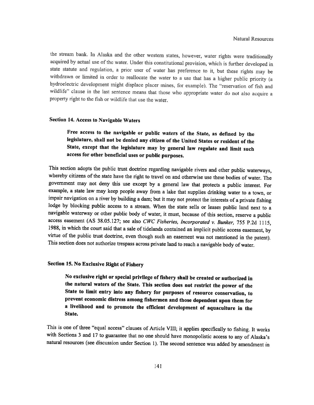the stream hank. In Alaska and the other western states, however, water rights were traditionally acquired by actual use of the water. Under this constitutional provision, which is further developed in state statute and regulation, a prior user of water has preference to it, but these rights may be withdrawn or limited in order to reallocate the water to a use that has a higher public priority (a hydroelectric development might displace placer mines, for example). The "reservation of fish and wildlife" clause in the last sentence means that those who appropriate waler do not also acquire <sup>a</sup> property right to the fish or wildlife that use the water.

## Section 14. Access to Navigable Waters

# Free access to the navigable or public waters of the State, as defined by the legislature, shall not be denied any citizen of the United States or resident of the State, except that the legislature may by general law regulate and limit such access for other beneficial uses or public purposes

This section adopts the public trust doctrine regarding navigable rivers and other public waterways, whereby citizens of the state have the right to travel on and otherwise use these bodies of water. The government may not deny this use except by <sup>a</sup> general law that protects <sup>a</sup> public interest. For example, <sup>a</sup> state law may keep people away from <sup>a</sup> lake that supplies drinking water to <sup>a</sup> town, or impair navigation on <sup>a</sup> river by building <sup>a</sup> dam; but it may not protect the interests of <sup>a</sup> private fishing lodge by blocking public access to <sup>a</sup> stream. When the state sells or leases public land next to <sup>a</sup> navigable waterway or other public body of water, it must, because of this section, reserve <sup>a</sup> public access easement (AS 38.05.127; see also CWC Fisheries, Incorporated v. Bunker, 755 P.2d 1115, 1988, in which the court said that <sup>a</sup> sale of tidelands contained an implicit public access easement, by virtue of the public trust doctrine, even though such an easement was not mentioned in the patent). This section does not authorize trespass across private land to reach <sup>a</sup> navigable body of water.

## Section 15. No Exclusive Right of Fishery

No exclusive right or special privilege of fishery shall be created or authorized in the natural waters of the State. This section does not restrict the power of the State to limit entry into any fishery for purposes of resource conservation, to prevent economic distress among fishermen and those dependent upon them for a livelihood and to promote the efficient development of aquaculture in the State.

This is one of three "equal access" clauses of Article VIII; it applies specifically to fishing. It works with Sections <sup>3</sup> and <sup>17</sup> to guarantee that no one should have monopolistic access to any of Alaska's natural resources (see discussion under Section 1). The second sentence was added by amendment in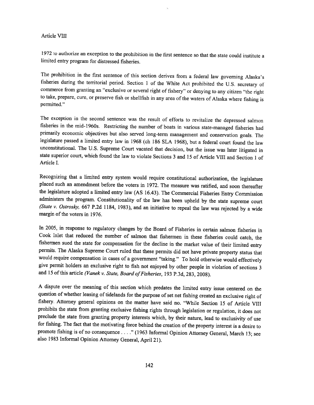<sup>1972</sup> to authorize an exception to the prohibition in the first sentence so that the state could institute <sup>a</sup> limited entry program for distressed fisheries.

The prohibition in the first sentence of this section derives from <sup>a</sup> federal law governing Alaska's fisheries during the territorial period. Section <sup>1</sup> of the White Act prohibited the U.S. secretary of commerce from graning an "exclusive or several right of tishery" or denying to any citizen "the right to take, prepare, cure, or preserve fish or shellfish in any area of the waters of Alaska where fishing is permitted."

The exception in the second sentence was the result of efforts to revitalize the depressed salmon fisheries in the mid-1960s. Restricting the number of boats in various state-managed fisheries had primarily economic objectives but also served long-term management and conservation goals. The legislature passed <sup>a</sup> limited entry law in <sup>1968</sup> (ch <sup>186</sup> SLA 1968), but <sup>a</sup> federal court found the law unconstitutional. The U.S. Supreme Court vacated that decision, but the issue was later litigated in state superior court, which found the law to violate Sections 3 and 15 of Article VIII and Section 1 of Article I.

Recognizing that <sup>a</sup> limited entry system would require constitutional authorization, the legislature <sup>p</sup>laced such an amendment before the voters in 1972. The measure was ratified, and soon thereafter the legislature adopted <sup>a</sup> limited entry law (AS 16.43). The Commercial Fisheries Entry Commission administers the program. Constitutionality of the law has been upheld by the state supreme court (State v. Ostrosky, 667 P.2d 1184, 1983), and an initiative to repeal the law was rejected by a wide margin of the voters in 1976.

In 2005, in response to regulatory changes by the Board of Fisheries in certain salmon fisheries in Cook Inlet that reduced the number of salmon that fishermen in these fisheries could catch, the fishermen sued the state for compensation for the decline in the market value of their limited entry permits. The Alaska Supreme Court ruled that these permits did not have private property status that would require compensation in cases of <sup>a</sup> government "taking." To hold otherwise would effectively <sup>g</sup>ive permit holders an exclusive right to fish not enjoyed by other people in violation of sections <sup>3</sup> and 15 of this article (Vanek v. State, Board of Fisheries, 193 P.3d, 283, 2008).

<sup>A</sup> dispute over the meaning of this section which predates the limited entry issue centered on the question of whether leasing of tidelands for the purpose of set net fishing created an exclusive right of fishery. Attorney general opinions on the matter have said no. "While Section <sup>15</sup> of Article VIII prohibits the state from granting exclusive fishing rights through legislation or regulation, it does not preclude the state from granting property interests which, by their nature, lead to exclusivity of use for fishing. The fact that the motivating force behind the creation of the property interest is <sup>a</sup> desire to promote fishing is of no consequence . . . ." (1963 Tnformal Opinion Attorney General, March 13; see also <sup>1983</sup> Informal Opinion Attorney General, April 21).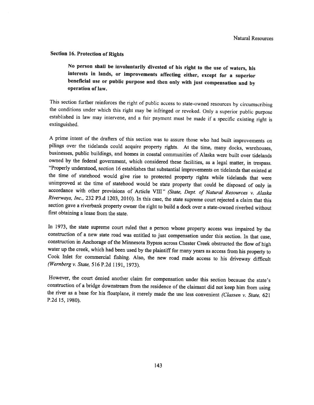### Section 16, Protection of Rights

No person shall be involuntarily divested of his right to the use of waters, his interests in lands, or improvements affecting either, except for <sup>a</sup> superior beneficial use or public purpose and then only with just compensation and by operation of law.

This section further reinforces the right of public access to state-owned resources by circumscribing the conditions under which this right may be infringed or revoked. Only <sup>a</sup> superior public purpose established in law may intervene, and <sup>a</sup> fair payment must he made if <sup>a</sup> specific existing right is extinguished.

<sup>A</sup> prime intent of the drafleis of this section was to assure those who had built improvements on <sup>p</sup>ilings over the tidelands could acquire property rights, At the time, many docks, warehouses, businesses, public buildings, and homes in coastal communities of Alaska were built over tidelands owned by the federal government, which considered these facilities, as a legal matter, in trespass. "Properly understood, section 16 establishes that substantial improvements on tidelands that existed at the time of statehood would <sup>g</sup>ive rise to protected property rights while tidelands that were unimproved at the time of statehood would be state property that could be disposed of only in accordance with other provisions of Article VIII" (State, Dept. of Natural Resources v. Alaska Riverways, Inc., 232 P3.d 1203, 2010). In this case, the state supreme court rejected a claim that this section gave <sup>a</sup> riverbank property owner the right to build <sup>a</sup> dock over <sup>a</sup> state-owned riverbed without first obtaining <sup>a</sup> lease from the state.

In 1973, the state supreme court ruled that <sup>a</sup> person whose property access was impaired by the construction of <sup>a</sup> new state road was entitled to just compensation under this section. In that case, construction in Anchorage of the Minnesota Bypass across Chester Creek obstructed the flow of high water up the creek, which had been used by the <sup>p</sup>laintiff for many years as access from his property to Cook Inlet for commercial fishing. Also, the new road made access to his driveway difficult (Wernberg v. State, 516 P.2d 1191, 1973).

However, the court denied another claim for compensation under this section because the state's construction of a bridge downstream from the residence of the claimant did not keep him from using the river as a base for his floatplane, it merely made the use less convenient (Classen v. State, 621 P.2d 15, 1980).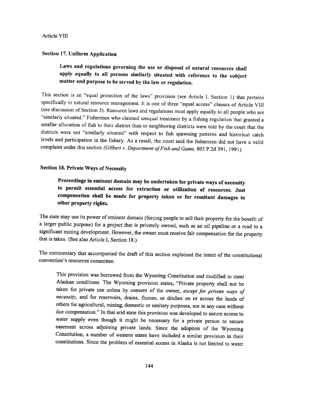### Section 17. Uniform Application

# Laws and regulations governing the use or disposal of natural resources shall apply equally to all persons similarly situated with reference to the subject matter and purpose to he served by the law or regulation.

This section is an "equal protection of the laws" provision (see Article I, Section 1) that pertains specifically to natural resource management. It is one of three "equal access" clauses of Article VIII (see discussion of Section 3). Resource laws and regulations must apply equally to all people who are "similarly situated." Fishermen who claimed unequal treatment by a fishing regulation that granted a smaller allocation of fish to their district than to neighboring districts were told by the court that the districts were not "similarly situated" with respect to fish spawning patterns and historical catch levels and participation in the fishery. As a result, the court said the fishermen did not have a valid complaint under this section (Gilbert v. Department of Fish and Game, 803 P.2d 391, 1991).

## Section 18. Private Ways of Necessity

# Proceedings in eminent domain may be undertaken for private ways of necessity to permit essential access for extraction or utilization of resources. Just compensation shall be made for property taken or for resultant damages to other property rights.

The state may use its power of eminent domain (forcing people to sell their property for the benefit of <sup>a</sup> larger public purpose) for <sup>a</sup> project that is privately owned, such as an oil <sup>p</sup>ipeline or <sup>a</sup> road to <sup>a</sup> significant mining development. However, the owner must receive fair compensation for the property that is taken. (See also Article I, Section 18.)

The commentary that accompanied the draft of this section explained the intent of the constitutional convention's resources committee.

This provision was borrowed from the Wyoming Constitution and modified to meet Alaskan conditions. The Wyoming provision states, "Private property shall not be taken for private use unless by consent of the owner, except for private ways of necessity, and for reservoirs, drains, flumes, or ditches on or across the lands of others for agricultural, mining, domestic or sanitary purposes, nor in any case without due compensation." In that arid state this provision was developed to assure access to water supply even though it might be necessary for <sup>a</sup> private person to secure easement across adjoining private lands. Since the adoption of the Wyoming Constitution, <sup>a</sup> number of western states have included <sup>a</sup> similar provision in their constitutions. Since the problem of essential access in Alaska is not limited to water